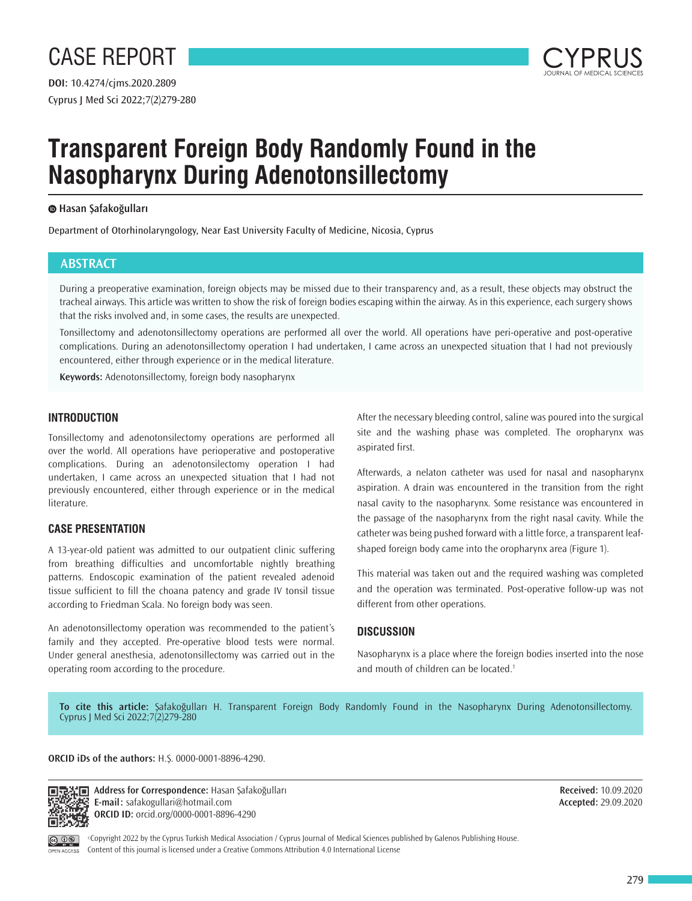

# **Transparent Foreign Body Randomly Found in the Nasopharynx During Adenotonsillectomy**

### **Hasan Şafakoğulları**

Department of Otorhinolaryngology, Near East University Faculty of Medicine, Nicosia, Cyprus

# **ABSTRACT**

During a preoperative examination, foreign objects may be missed due to their transparency and, as a result, these objects may obstruct the tracheal airways. This article was written to show the risk of foreign bodies escaping within the airway. As in this experience, each surgery shows that the risks involved and, in some cases, the results are unexpected.

Tonsillectomy and adenotonsillectomy operations are performed all over the world. All operations have peri-operative and post-operative complications. During an adenotonsillectomy operation I had undertaken, I came across an unexpected situation that I had not previously encountered, either through experience or in the medical literature.

**Keywords:** Adenotonsillectomy, foreign body nasopharynx

# **INTRODUCTION**

Tonsillectomy and adenotonsilectomy operations are performed all over the world. All operations have perioperative and postoperative complications. During an adenotonsilectomy operation I had undertaken, I came across an unexpected situation that I had not previously encountered, either through experience or in the medical literature.

## **CASE PRESENTATION**

A 13-year-old patient was admitted to our outpatient clinic suffering from breathing difficulties and uncomfortable nightly breathing patterns. Endoscopic examination of the patient revealed adenoid tissue sufficient to fill the choana patency and grade IV tonsil tissue according to Friedman Scala. No foreign body was seen.

An adenotonsillectomy operation was recommended to the patient's family and they accepted. Pre-operative blood tests were normal. Under general anesthesia, adenotonsillectomy was carried out in the operating room according to the procedure.

After the necessary bleeding control, saline was poured into the surgical site and the washing phase was completed. The oropharynx was aspirated first.

Afterwards, a nelaton catheter was used for nasal and nasopharynx aspiration. A drain was encountered in the transition from the right nasal cavity to the nasopharynx. Some resistance was encountered in the passage of the nasopharynx from the right nasal cavity. While the catheter was being pushed forward with a little force, a transparent leafshaped foreign body came into the oropharynx area (Figure 1).

This material was taken out and the required washing was completed and the operation was terminated. Post-operative follow-up was not different from other operations.

### **DISCUSSION**

Nasopharynx is a place where the foreign bodies inserted into the nose and mouth of children can be located.<sup>1</sup>

**To cite this article:** Şafakoğulları H. Transparent Foreign Body Randomly Found in the Nasopharynx During Adenotonsillectomy. Cyprus J Med Sci 2022;7(2)279-280

**ORCID iDs of the authors:** H.Ş. 0000-0001-8896-4290.



**Address for Correspondence:** Hasan Şafakoğulları **E-mail:** safakogullari@hotmail.com **ORCID ID:** orcid.org/0000-0001-8896-4290

**Received:** 10.09.2020 **Accepted:** 29.09.2020



©Copyright 2022 by the Cyprus Turkish Medical Association / Cyprus Journal of Medical Sciences published by Galenos Publishing House. Content of this journal is licensed under a Creative Commons Attribution 4.0 International License